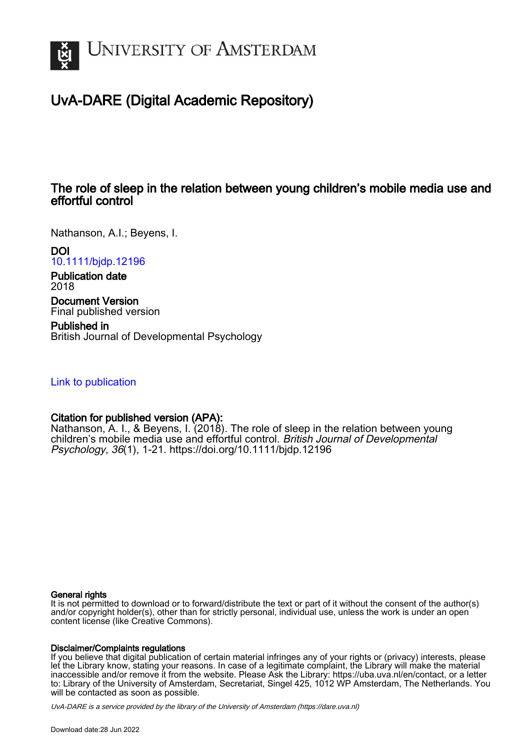

# UvA-DARE (Digital Academic Repository)

## The role of sleep in the relation between young children's mobile media use and effortful control

Nathanson, A.I.; Beyens, I.

DOI [10.1111/bjdp.12196](https://doi.org/10.1111/bjdp.12196)

Publication date 2018

Document Version Final published version

Published in British Journal of Developmental Psychology

## [Link to publication](https://dare.uva.nl/personal/pure/en/publications/the-role-of-sleep-in-the-relation-between-young-childrens-mobile-media-use-and-effortful-control(1dd63cd6-b798-4bae-8d93-38ba8cb4020b).html)

## Citation for published version (APA):

Nathanson, A. I., & Beyens, I. (2018). The role of sleep in the relation between young children's mobile media use and effortful control. British Journal of Developmental Psychology, 36(1), 1-21.<https://doi.org/10.1111/bjdp.12196>

## General rights

It is not permitted to download or to forward/distribute the text or part of it without the consent of the author(s) and/or copyright holder(s), other than for strictly personal, individual use, unless the work is under an open content license (like Creative Commons).

## Disclaimer/Complaints regulations

If you believe that digital publication of certain material infringes any of your rights or (privacy) interests, please let the Library know, stating your reasons. In case of a legitimate complaint, the Library will make the material inaccessible and/or remove it from the website. Please Ask the Library: https://uba.uva.nl/en/contact, or a letter to: Library of the University of Amsterdam, Secretariat, Singel 425, 1012 WP Amsterdam, The Netherlands. You will be contacted as soon as possible.

UvA-DARE is a service provided by the library of the University of Amsterdam (http*s*://dare.uva.nl)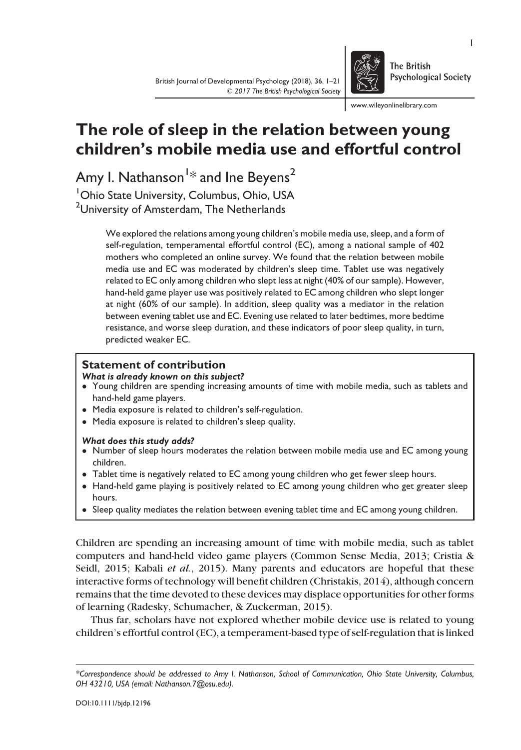

www.wileyonlinelibrary.com

# The role of sleep in the relation between young children's mobile media use and effortful control

Amy I. Nathanson<sup>1</sup>\* and Ine Beyens<sup>2</sup>

1 Ohio State University, Columbus, Ohio, USA

 $^2$ University of Amsterdam, The Netherlands

We explored the relations among young children's mobile media use, sleep, and a form of self-regulation, temperamental effortful control (EC), among a national sample of 402 mothers who completed an online survey. We found that the relation between mobile media use and EC was moderated by children's sleep time. Tablet use was negatively related to EC only among children who slept less at night (40% of our sample). However, hand-held game player use was positively related to EC among children who slept longer at night (60% of our sample). In addition, sleep quality was a mediator in the relation between evening tablet use and EC. Evening use related to later bedtimes, more bedtime resistance, and worse sleep duration, and these indicators of poor sleep quality, in turn, predicted weaker EC.

## Statement of contribution

#### What is already known on this subject?

- Young children are spending increasing amounts of time with mobile media, such as tablets and hand-held game players.
- Media exposure is related to children's self-regulation.
- Media exposure is related to children's sleep quality.

### What does this study adds?

- Number of sleep hours moderates the relation between mobile media use and EC among young children.
- Tablet time is negatively related to EC among young children who get fewer sleep hours.
- Hand-held game playing is positively related to EC among young children who get greater sleep hours.
- Sleep quality mediates the relation between evening tablet time and EC among young children.

Children are spending an increasing amount of time with mobile media, such as tablet computers and hand-held video game players (Common Sense Media, 2013; Cristia & Seidl, 2015; Kabali et al., 2015). Many parents and educators are hopeful that these interactive forms of technology will benefit children (Christakis, 2014), although concern remains that the time devoted to these devices may displace opportunities for other forms of learning (Radesky, Schumacher, & Zuckerman, 2015).

Thus far, scholars have not explored whether mobile device use is related to young children's effortful control (EC), a temperament-based type of self-regulation that is linked

<sup>\*</sup>Correspondence should be addressed to Amy I. Nathanson, School of Communication, Ohio State University, Columbus, OH 43210, USA (email: Nathanson.7@osu.edu).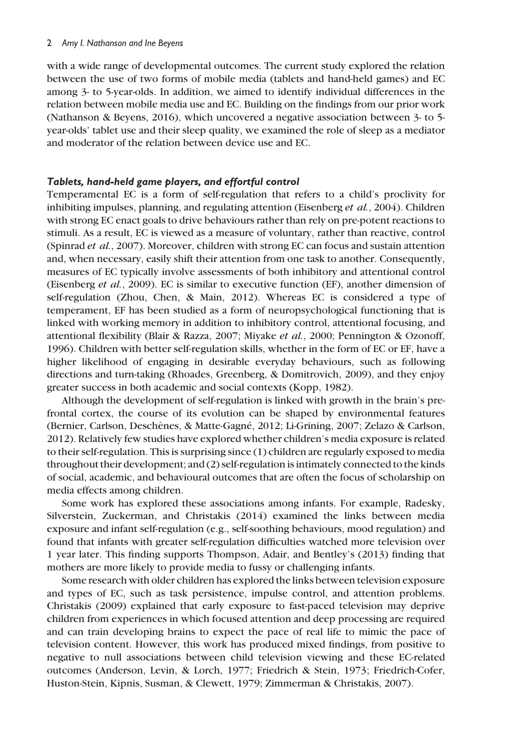#### 2 Amy I. Nathanson and Ine Beyens

with a wide range of developmental outcomes. The current study explored the relation between the use of two forms of mobile media (tablets and hand-held games) and EC among 3- to 5-year-olds. In addition, we aimed to identify individual differences in the relation between mobile media use and EC. Building on the findings from our prior work (Nathanson & Beyens, 2016), which uncovered a negative association between 3- to 5 year-olds' tablet use and their sleep quality, we examined the role of sleep as a mediator and moderator of the relation between device use and EC.

### Tablets, hand-held game players, and effortful control

Temperamental EC is a form of self-regulation that refers to a child's proclivity for inhibiting impulses, planning, and regulating attention (Eisenberg et  $al$ , 2004). Children with strong EC enact goals to drive behaviours rather than rely on pre-potent reactions to stimuli. As a result, EC is viewed as a measure of voluntary, rather than reactive, control (Spinrad et al., 2007). Moreover, children with strong EC can focus and sustain attention and, when necessary, easily shift their attention from one task to another. Consequently, measures of EC typically involve assessments of both inhibitory and attentional control (Eisenberg et al., 2009). EC is similar to executive function (EF), another dimension of self-regulation (Zhou, Chen, & Main, 2012). Whereas EC is considered a type of temperament, EF has been studied as a form of neuropsychological functioning that is linked with working memory in addition to inhibitory control, attentional focusing, and attentional flexibility (Blair & Razza, 2007; Miyake et al., 2000; Pennington & Ozonoff, 1996). Children with better self-regulation skills, whether in the form of EC or EF, have a higher likelihood of engaging in desirable everyday behaviours, such as following directions and turn-taking (Rhoades, Greenberg, & Domitrovich, 2009), and they enjoy greater success in both academic and social contexts (Kopp, 1982).

Although the development of self-regulation is linked with growth in the brain's prefrontal cortex, the course of its evolution can be shaped by environmental features (Bernier, Carlson, Deschênes, & Matte-Gagné, 2012; Li-Grining, 2007; Zelazo & Carlson, 2012). Relatively few studies have explored whether children's media exposure is related to their self-regulation. This is surprising since (1) children are regularly exposed to media throughout their development; and (2) self-regulation is intimately connected to the kinds of social, academic, and behavioural outcomes that are often the focus of scholarship on media effects among children.

Some work has explored these associations among infants. For example, Radesky, Silverstein, Zuckerman, and Christakis (2014) examined the links between media exposure and infant self-regulation (e.g., self-soothing behaviours, mood regulation) and found that infants with greater self-regulation difficulties watched more television over 1 year later. This finding supports Thompson, Adair, and Bentley's (2013) finding that mothers are more likely to provide media to fussy or challenging infants.

Some research with older children has explored the links between television exposure and types of EC, such as task persistence, impulse control, and attention problems. Christakis (2009) explained that early exposure to fast-paced television may deprive children from experiences in which focused attention and deep processing are required and can train developing brains to expect the pace of real life to mimic the pace of television content. However, this work has produced mixed findings, from positive to negative to null associations between child television viewing and these EC-related outcomes (Anderson, Levin, & Lorch, 1977; Friedrich & Stein, 1973; Friedrich-Cofer, Huston-Stein, Kipnis, Susman, & Clewett, 1979; Zimmerman & Christakis, 2007).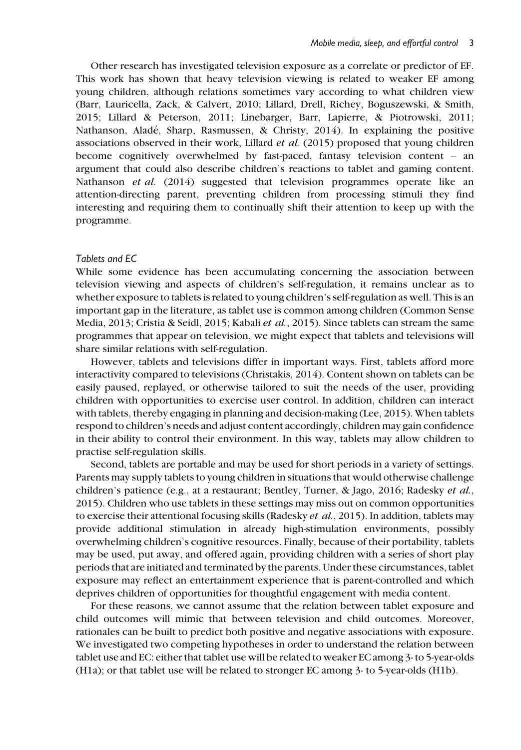Other research has investigated television exposure as a correlate or predictor of EF. This work has shown that heavy television viewing is related to weaker EF among young children, although relations sometimes vary according to what children view (Barr, Lauricella, Zack, & Calvert, 2010; Lillard, Drell, Richey, Boguszewski, & Smith, 2015; Lillard & Peterson, 2011; Linebarger, Barr, Lapierre, & Piotrowski, 2011; Nathanson, Aladé, Sharp, Rasmussen, & Christy, 2014). In explaining the positive associations observed in their work, Lillard et al. (2015) proposed that young children become cognitively overwhelmed by fast-paced, fantasy television content – an argument that could also describe children's reactions to tablet and gaming content. Nathanson *et al.* (2014) suggested that television programmes operate like an attention-directing parent, preventing children from processing stimuli they find interesting and requiring them to continually shift their attention to keep up with the programme.

## Tablets and EC

While some evidence has been accumulating concerning the association between television viewing and aspects of children's self-regulation, it remains unclear as to whether exposure to tablets is related to young children's self-regulation as well. This is an important gap in the literature, as tablet use is common among children (Common Sense Media, 2013; Cristia & Seidl, 2015; Kabali *et al.*, 2015). Since tablets can stream the same programmes that appear on television, we might expect that tablets and televisions will share similar relations with self-regulation.

However, tablets and televisions differ in important ways. First, tablets afford more interactivity compared to televisions (Christakis, 2014). Content shown on tablets can be easily paused, replayed, or otherwise tailored to suit the needs of the user, providing children with opportunities to exercise user control. In addition, children can interact with tablets, thereby engaging in planning and decision-making (Lee, 2015). When tablets respond to children's needs and adjust content accordingly, children may gain confidence in their ability to control their environment. In this way, tablets may allow children to practise self-regulation skills.

Second, tablets are portable and may be used for short periods in a variety of settings. Parents may supply tablets to young children in situations that would otherwise challenge children's patience (e.g., at a restaurant; Bentley, Turner, & Jago, 2016; Radesky et al., 2015). Children who use tablets in these settings may miss out on common opportunities to exercise their attentional focusing skills (Radesky et al., 2015). In addition, tablets may provide additional stimulation in already high-stimulation environments, possibly overwhelming children's cognitive resources. Finally, because of their portability, tablets may be used, put away, and offered again, providing children with a series of short play periods that are initiated and terminated by the parents. Under these circumstances, tablet exposure may reflect an entertainment experience that is parent-controlled and which deprives children of opportunities for thoughtful engagement with media content.

For these reasons, we cannot assume that the relation between tablet exposure and child outcomes will mimic that between television and child outcomes. Moreover, rationales can be built to predict both positive and negative associations with exposure. We investigated two competing hypotheses in order to understand the relation between tablet use and EC: either that tablet use will be related to weaker EC among 3- to 5-year-olds (H1a); or that tablet use will be related to stronger EC among 3- to 5-year-olds (H1b).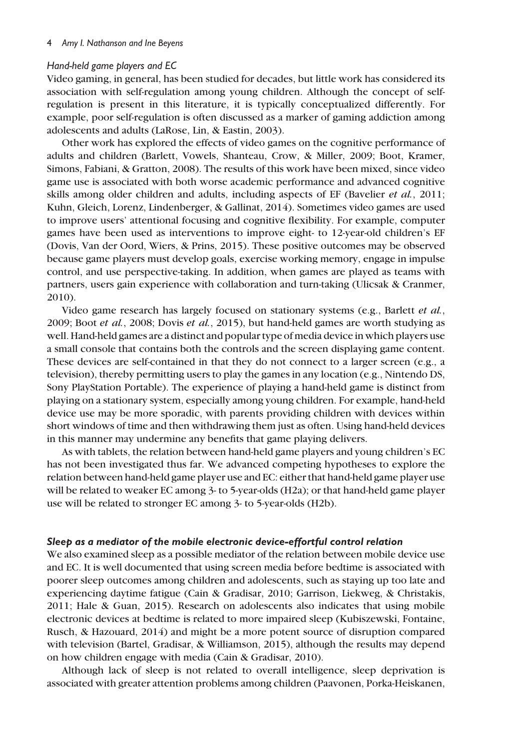### Hand-held game players and EC

Video gaming, in general, has been studied for decades, but little work has considered its association with self-regulation among young children. Although the concept of selfregulation is present in this literature, it is typically conceptualized differently. For example, poor self-regulation is often discussed as a marker of gaming addiction among adolescents and adults (LaRose, Lin, & Eastin, 2003).

Other work has explored the effects of video games on the cognitive performance of adults and children (Barlett, Vowels, Shanteau, Crow, & Miller, 2009; Boot, Kramer, Simons, Fabiani, & Gratton, 2008). The results of this work have been mixed, since video game use is associated with both worse academic performance and advanced cognitive skills among older children and adults, including aspects of EF (Bavelier *et al.*, 2011; Kuhn, Gleich, Lorenz, Lindenberger, & Gallinat, 2014). Sometimes video games are used to improve users' attentional focusing and cognitive flexibility. For example, computer games have been used as interventions to improve eight- to 12-year-old children's EF (Dovis, Van der Oord, Wiers, & Prins, 2015). These positive outcomes may be observed because game players must develop goals, exercise working memory, engage in impulse control, and use perspective-taking. In addition, when games are played as teams with partners, users gain experience with collaboration and turn-taking (Ulicsak & Cranmer, 2010).

Video game research has largely focused on stationary systems (e.g., Barlett et al., 2009; Boot et al., 2008; Dovis et al., 2015), but hand-held games are worth studying as well. Hand-held games are a distinct and popular type of media device in which players use a small console that contains both the controls and the screen displaying game content. These devices are self-contained in that they do not connect to a larger screen (e.g., a television), thereby permitting users to play the games in any location (e.g., Nintendo DS, Sony PlayStation Portable). The experience of playing a hand-held game is distinct from playing on a stationary system, especially among young children. For example, hand-held device use may be more sporadic, with parents providing children with devices within short windows of time and then withdrawing them just as often. Using hand-held devices in this manner may undermine any benefits that game playing delivers.

As with tablets, the relation between hand-held game players and young children's EC has not been investigated thus far. We advanced competing hypotheses to explore the relation between hand-held game player use and EC: either that hand-held game player use will be related to weaker EC among 3- to 5-year-olds (H2a); or that hand-held game player use will be related to stronger EC among 3- to 5-year-olds (H2b).

#### Sleep as a mediator of the mobile electronic device-effortful control relation

We also examined sleep as a possible mediator of the relation between mobile device use and EC. It is well documented that using screen media before bedtime is associated with poorer sleep outcomes among children and adolescents, such as staying up too late and experiencing daytime fatigue (Cain & Gradisar, 2010; Garrison, Liekweg, & Christakis, 2011; Hale & Guan, 2015). Research on adolescents also indicates that using mobile electronic devices at bedtime is related to more impaired sleep (Kubiszewski, Fontaine, Rusch, & Hazouard, 2014) and might be a more potent source of disruption compared with television (Bartel, Gradisar, & Williamson, 2015), although the results may depend on how children engage with media (Cain & Gradisar, 2010).

Although lack of sleep is not related to overall intelligence, sleep deprivation is associated with greater attention problems among children (Paavonen, Porka-Heiskanen,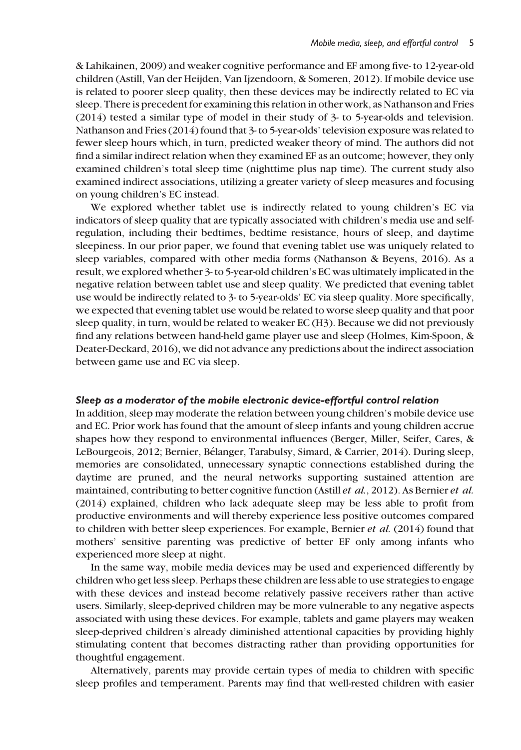& Lahikainen, 2009) and weaker cognitive performance and EF among five- to 12-year-old children (Astill, Van der Heijden, Van Ijzendoorn, & Someren, 2012). If mobile device use is related to poorer sleep quality, then these devices may be indirectly related to EC via sleep. There is precedent for examining this relation in other work, as Nathanson and Fries (2014) tested a similar type of model in their study of 3- to 5-year-olds and television. Nathanson and Fries (2014) found that 3- to 5-year-olds' television exposure was related to fewer sleep hours which, in turn, predicted weaker theory of mind. The authors did not find a similar indirect relation when they examined EF as an outcome; however, they only examined children's total sleep time (nighttime plus nap time). The current study also examined indirect associations, utilizing a greater variety of sleep measures and focusing on young children's EC instead.

We explored whether tablet use is indirectly related to young children's EC via indicators of sleep quality that are typically associated with children's media use and selfregulation, including their bedtimes, bedtime resistance, hours of sleep, and daytime sleepiness. In our prior paper, we found that evening tablet use was uniquely related to sleep variables, compared with other media forms (Nathanson & Beyens, 2016). As a result, we explored whether 3- to 5-year-old children's EC was ultimately implicated in the negative relation between tablet use and sleep quality. We predicted that evening tablet use would be indirectly related to 3- to 5-year-olds' EC via sleep quality. More specifically, we expected that evening tablet use would be related to worse sleep quality and that poor sleep quality, in turn, would be related to weaker EC (H3). Because we did not previously find any relations between hand-held game player use and sleep (Holmes, Kim-Spoon, & Deater-Deckard, 2016), we did not advance any predictions about the indirect association between game use and EC via sleep.

### Sleep as a moderator of the mobile electronic device-effortful control relation

In addition, sleep may moderate the relation between young children's mobile device use and EC. Prior work has found that the amount of sleep infants and young children accrue shapes how they respond to environmental influences (Berger, Miller, Seifer, Cares, & LeBourgeois, 2012; Bernier, Bélanger, Tarabulsy, Simard, & Carrier, 2014). During sleep, memories are consolidated, unnecessary synaptic connections established during the daytime are pruned, and the neural networks supporting sustained attention are maintained, contributing to better cognitive function (Astill et al., 2012). As Bernier et al. (2014) explained, children who lack adequate sleep may be less able to profit from productive environments and will thereby experience less positive outcomes compared to children with better sleep experiences. For example, Bernier et al. (2014) found that mothers' sensitive parenting was predictive of better EF only among infants who experienced more sleep at night.

In the same way, mobile media devices may be used and experienced differently by children who get less sleep. Perhaps these children are less able to use strategies to engage with these devices and instead become relatively passive receivers rather than active users. Similarly, sleep-deprived children may be more vulnerable to any negative aspects associated with using these devices. For example, tablets and game players may weaken sleep-deprived children's already diminished attentional capacities by providing highly stimulating content that becomes distracting rather than providing opportunities for thoughtful engagement.

Alternatively, parents may provide certain types of media to children with specific sleep profiles and temperament. Parents may find that well-rested children with easier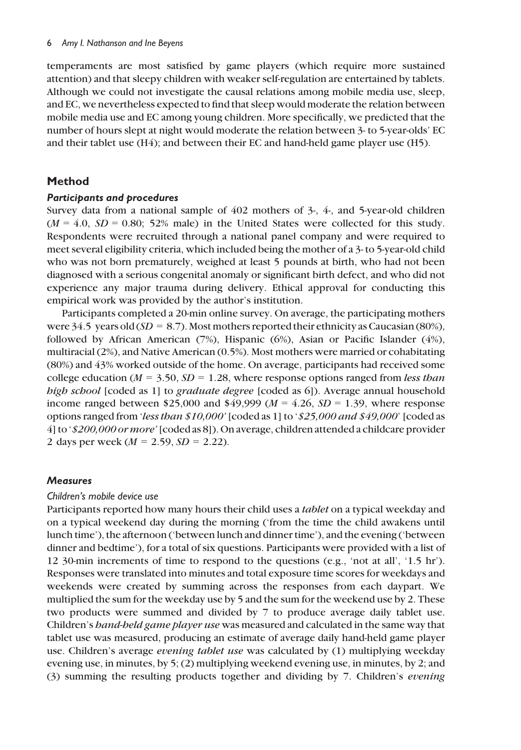temperaments are most satisfied by game players (which require more sustained attention) and that sleepy children with weaker self-regulation are entertained by tablets. Although we could not investigate the causal relations among mobile media use, sleep, and EC, we nevertheless expected to find that sleep would moderate the relation between mobile media use and EC among young children. More specifically, we predicted that the number of hours slept at night would moderate the relation between 3- to 5-year-olds' EC and their tablet use (H4); and between their EC and hand-held game player use (H5).

## Method

## Participants and procedures

Survey data from a national sample of 402 mothers of 3-, 4-, and 5-year-old children  $(M = 4.0, SD = 0.80; 52\%$  male) in the United States were collected for this study. Respondents were recruited through a national panel company and were required to meet several eligibility criteria, which included being the mother of a 3- to 5-year-old child who was not born prematurely, weighed at least 5 pounds at birth, who had not been diagnosed with a serious congenital anomaly or significant birth defect, and who did not experience any major trauma during delivery. Ethical approval for conducting this empirical work was provided by the author's institution.

Participants completed a 20-min online survey. On average, the participating mothers were 34.5 years old  $(SD = 8.7)$ . Most mothers reported their ethnicity as Caucasian (80%), followed by African American (7%), Hispanic (6%), Asian or Pacific Islander (4%), multiracial (2%), and Native American (0.5%). Most mothers were married or cohabitating (80%) and 43% worked outside of the home. On average, participants had received some college education ( $M = 3.50$ ,  $SD = 1.28$ , where response options ranged from less than high school [coded as 1] to graduate degree [coded as 6]). Average annual household income ranged between \$25,000 and \$49,999 ( $M = 4.26$ ,  $SD = 1.39$ , where response options ranged from 'less than \$10,000' [coded as 1] to '\$25,000 and \$49,000' [coded as 4] to '\$200,000 or more'[coded as 8]). On average, children attended a childcare provider 2 days per week ( $M = 2.59$ ,  $SD = 2.22$ ).

## Measures

## Children's mobile device use

Participants reported how many hours their child uses a tablet on a typical weekday and on a typical weekend day during the morning ('from the time the child awakens until lunch time'), the afternoon ('between lunch and dinner time'), and the evening ('between dinner and bedtime'), for a total of six questions. Participants were provided with a list of 12 30-min increments of time to respond to the questions (e.g., 'not at all', '1.5 hr'). Responses were translated into minutes and total exposure time scores for weekdays and weekends were created by summing across the responses from each daypart. We multiplied the sum for the weekday use by 5 and the sum for the weekend use by 2. These two products were summed and divided by 7 to produce average daily tablet use. Children's *hand-held game player use* was measured and calculated in the same way that tablet use was measured, producing an estimate of average daily hand-held game player use. Children's average *evening tablet use* was calculated by (1) multiplying weekday evening use, in minutes, by 5; (2) multiplying weekend evening use, in minutes, by 2; and (3) summing the resulting products together and dividing by 7. Children's evening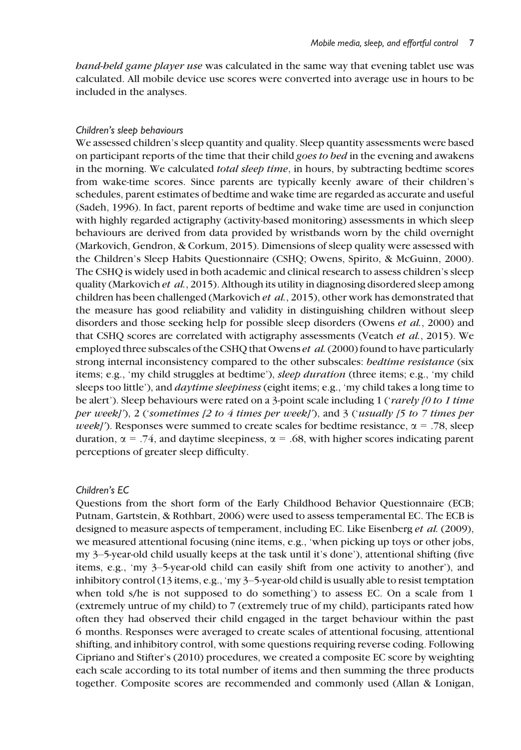hand-held game player use was calculated in the same way that evening tablet use was calculated. All mobile device use scores were converted into average use in hours to be included in the analyses.

### Children's sleep behaviours

We assessed children's sleep quantity and quality. Sleep quantity assessments were based on participant reports of the time that their child goes to bed in the evening and awakens in the morning. We calculated *total sleep time*, in hours, by subtracting bedtime scores from wake-time scores. Since parents are typically keenly aware of their children's schedules, parent estimates of bedtime and wake time are regarded as accurate and useful (Sadeh, 1996). In fact, parent reports of bedtime and wake time are used in conjunction with highly regarded actigraphy (activity-based monitoring) assessments in which sleep behaviours are derived from data provided by wristbands worn by the child overnight (Markovich, Gendron, & Corkum, 2015). Dimensions of sleep quality were assessed with the Children's Sleep Habits Questionnaire (CSHQ; Owens, Spirito, & McGuinn, 2000). The CSHQ is widely used in both academic and clinical research to assess children's sleep quality (Markovich *et al.*, 2015). Although its utility in diagnosing disordered sleep among children has been challenged (Markovich et al., 2015), other work has demonstrated that the measure has good reliability and validity in distinguishing children without sleep disorders and those seeking help for possible sleep disorders (Owens et al., 2000) and that CSHQ scores are correlated with actigraphy assessments (Veatch et al., 2015). We employed three subscales of the CSHQ that Owens *et al.* (2000) found to have particularly strong internal inconsistency compared to the other subscales: bedtime resistance (six items; e.g., 'my child struggles at bedtime'), sleep duration (three items; e.g., 'my child sleeps too little'), and *daytime sleepiness* (eight items; e.g., 'my child takes a long time to be alert'). Sleep behaviours were rated on a 3-point scale including 1 ('rarely [0 to 1 time per week]'), 2 ('sometimes  $\lceil 2 \rceil$  to 4 times per week]'), and 3 ('usually  $\lceil 5 \rceil$  to 7 times per week]'). Responses were summed to create scales for bedtime resistance,  $\alpha = .78$ , sleep duration,  $\alpha = .74$ , and daytime sleepiness,  $\alpha = .68$ , with higher scores indicating parent perceptions of greater sleep difficulty.

## Children's EC

Questions from the short form of the Early Childhood Behavior Questionnaire (ECB; Putnam, Gartstein, & Rothbart, 2006) were used to assess temperamental EC. The ECB is designed to measure aspects of temperament, including EC. Like Eisenberg *et al.* (2009), we measured attentional focusing (nine items, e.g., 'when picking up toys or other jobs, my 3–5-year-old child usually keeps at the task until it's done'), attentional shifting (five items, e.g., 'my 3–5-year-old child can easily shift from one activity to another'), and inhibitory control (13 items, e.g., 'my 3–5-year-old child is usually able to resist temptation when told s/he is not supposed to do something') to assess EC. On a scale from 1 (extremely untrue of my child) to 7 (extremely true of my child), participants rated how often they had observed their child engaged in the target behaviour within the past 6 months. Responses were averaged to create scales of attentional focusing, attentional shifting, and inhibitory control, with some questions requiring reverse coding. Following Cipriano and Stifter's (2010) procedures, we created a composite EC score by weighting each scale according to its total number of items and then summing the three products together. Composite scores are recommended and commonly used (Allan & Lonigan,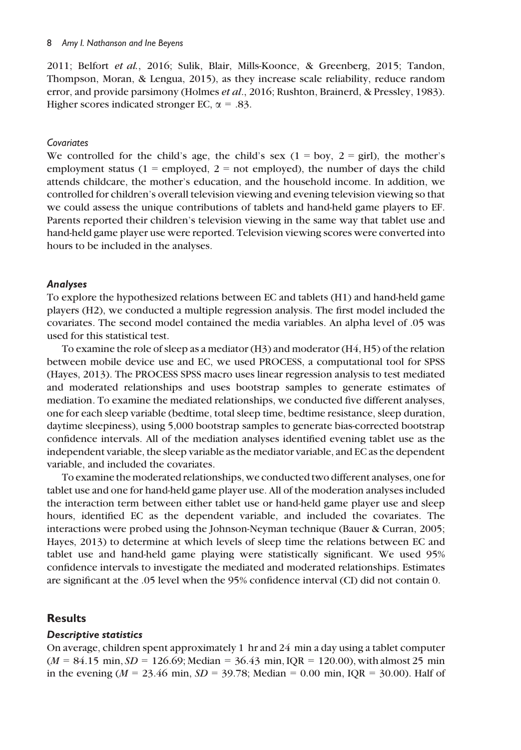2011; Belfort et al., 2016; Sulik, Blair, Mills-Koonce, & Greenberg, 2015; Tandon, Thompson, Moran, & Lengua, 2015), as they increase scale reliability, reduce random error, and provide parsimony (Holmes *et al.*, 2016; Rushton, Brainerd, & Pressley, 1983). Higher scores indicated stronger EC,  $\alpha = .83$ .

## **Covariates**

We controlled for the child's age, the child's sex  $(1 = boy, 2 = girl)$ , the mother's employment status ( $1 =$ employed,  $2 =$  not employed), the number of days the child attends childcare, the mother's education, and the household income. In addition, we controlled for children's overall television viewing and evening television viewing so that we could assess the unique contributions of tablets and hand-held game players to EF. Parents reported their children's television viewing in the same way that tablet use and hand-held game player use were reported. Television viewing scores were converted into hours to be included in the analyses.

### Analyses

To explore the hypothesized relations between EC and tablets (H1) and hand-held game players (H2), we conducted a multiple regression analysis. The first model included the covariates. The second model contained the media variables. An alpha level of .05 was used for this statistical test.

To examine the role of sleep as a mediator (H3) and moderator (H4, H5) of the relation between mobile device use and EC, we used PROCESS, a computational tool for SPSS (Hayes, 2013). The PROCESS SPSS macro uses linear regression analysis to test mediated and moderated relationships and uses bootstrap samples to generate estimates of mediation. To examine the mediated relationships, we conducted five different analyses, one for each sleep variable (bedtime, total sleep time, bedtime resistance, sleep duration, daytime sleepiness), using 5,000 bootstrap samples to generate bias-corrected bootstrap confidence intervals. All of the mediation analyses identified evening tablet use as the independent variable, the sleep variable as the mediator variable, and EC as the dependent variable, and included the covariates.

To examine the moderated relationships, we conducted two different analyses, one for tablet use and one for hand-held game player use. All of the moderation analyses included the interaction term between either tablet use or hand-held game player use and sleep hours, identified EC as the dependent variable, and included the covariates. The interactions were probed using the Johnson-Neyman technique (Bauer & Curran, 2005; Hayes, 2013) to determine at which levels of sleep time the relations between EC and tablet use and hand-held game playing were statistically significant. We used 95% confidence intervals to investigate the mediated and moderated relationships. Estimates are significant at the .05 level when the 95% confidence interval (CI) did not contain 0.

## Results

## Descriptive statistics

On average, children spent approximately 1 hr and 24 min a day using a tablet computer  $(M = 84.15 \text{ min}, SD = 126.69; \text{Median} = 36.43 \text{ min}, IQR = 120.00), \text{with almost } 25 \text{ min}$ in the evening ( $M = 23.46$  min,  $SD = 39.78$ ; Median = 0.00 min, IOR = 30.00). Half of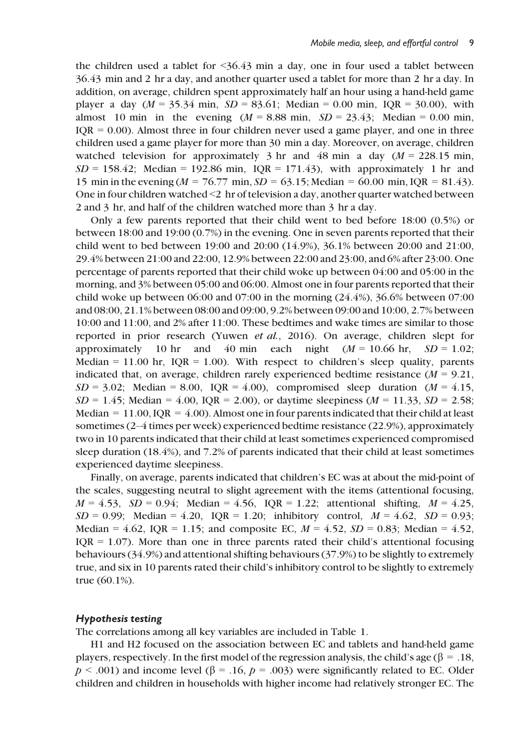the children used a tablet for  $\leq 36.43$  min a day, one in four used a tablet between 36.43 min and 2 hr a day, and another quarter used a tablet for more than 2 hr a day. In addition, on average, children spent approximately half an hour using a hand-held game player a day ( $M = 35.34$  min,  $SD = 83.61$ ; Median = 0.00 min, IQR = 30.00), with almost 10 min in the evening  $(M = 8.88$  min,  $SD = 23.43$ ; Median = 0.00 min,  $IQR = 0.00$ . Almost three in four children never used a game player, and one in three children used a game player for more than 30 min a day. Moreover, on average, children watched television for approximately 3 hr and 48 min a day  $(M = 228.15 \text{ min})$ ,  $SD = 158.42$ ; Median = 192.86 min, IQR = 171.43), with approximately 1 hr and 15 min in the evening ( $M = 76.77$  min,  $SD = 63.15$ ; Median = 60.00 min, IOR = 81.43). One in four children watched <2 hr of television a day, another quarter watched between 2 and 3 hr, and half of the children watched more than 3 hr a day.

Only a few parents reported that their child went to bed before 18:00 (0.5%) or between 18:00 and 19:00 (0.7%) in the evening. One in seven parents reported that their child went to bed between 19:00 and 20:00 (14.9%), 36.1% between 20:00 and 21:00, 29.4% between 21:00 and 22:00, 12.9% between 22:00 and 23:00, and 6% after 23:00. One percentage of parents reported that their child woke up between 04:00 and 05:00 in the morning, and 3% between 05:00 and 06:00. Almost one in four parents reported that their child woke up between 06:00 and 07:00 in the morning (24.4%), 36.6% between 07:00 and 08:00, 21.1% between 08:00 and 09:00, 9.2% between 09:00 and 10:00, 2.7% between 10:00 and 11:00, and 2% after 11:00. These bedtimes and wake times are similar to those reported in prior research (Yuwen et al., 2016). On average, children slept for approximately 10 hr and 40 min each night  $(M = 10.66$  hr,  $SD = 1.02$ ; Median = 11.00 hr,  $IQR = 1.00$ . With respect to children's sleep quality, parents indicated that, on average, children rarely experienced bedtime resistance  $(M = 9.21)$ ,  $SD = 3.02$ ; Median = 8.00, IQR = 4.00), compromised sleep duration ( $M = 4.15$ ,  $SD = 1.45$ ; Median = 4.00, IQR = 2.00), or daytime sleepiness ( $M = 11.33$ ,  $SD = 2.58$ ; Median  $= 11.00$ , IQR  $= 4.00$ ). Almost one in four parents indicated that their child at least sometimes (2–4 times per week) experienced bedtime resistance (22.9%), approximately two in 10 parents indicated that their child at least sometimes experienced compromised sleep duration (18.4%), and 7.2% of parents indicated that their child at least sometimes experienced daytime sleepiness.

Finally, on average, parents indicated that children's EC was at about the mid-point of the scales, suggesting neutral to slight agreement with the items (attentional focusing,  $M = 4.53$ ,  $SD = 0.94$ ; Median = 4.56, IQR = 1.22; attentional shifting,  $M = 4.25$ ,  $SD = 0.99$ ; Median = 4.20, IQR = 1.20; inhibitory control,  $M = 4.62$ ,  $SD = 0.93$ ; Median =  $4.62$ , IQR = 1.15; and composite EC,  $M = 4.52$ ,  $SD = 0.83$ ; Median =  $4.52$ ,  $IQR = 1.07$ ). More than one in three parents rated their child's attentional focusing behaviours (34.9%) and attentional shifting behaviours (37.9%) to be slightly to extremely true, and six in 10 parents rated their child's inhibitory control to be slightly to extremely true (60.1%).

#### Hypothesis testing

The correlations among all key variables are included in Table 1.

H1 and H2 focused on the association between EC and tablets and hand-held game players, respectively. In the first model of the regression analysis, the child's age ( $\beta = .18$ ,  $p < .001$ ) and income level ( $\beta = .16$ ,  $p = .003$ ) were significantly related to EC. Older children and children in households with higher income had relatively stronger EC. The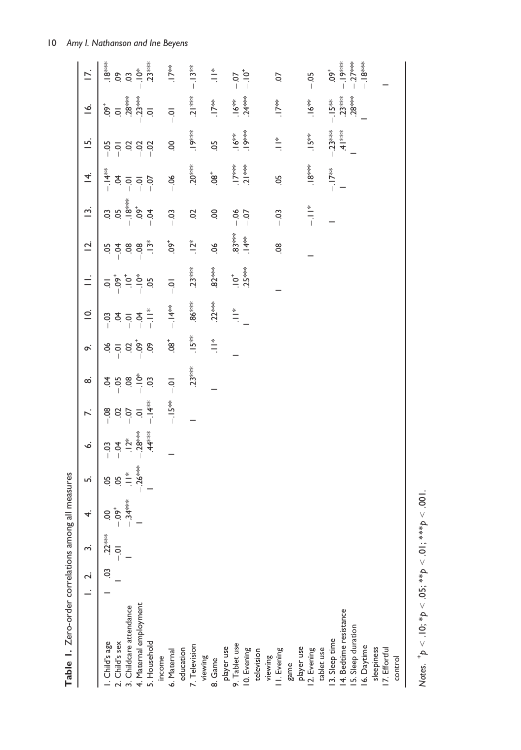|                                                                                                                         |                | $\ddot{ }$                 | 4.                           | $\mathfrak{p}$      | .<br>ف                        | $\mathbb{R}^+$                           | $\infty$        | $\ddot{\circ}$                                                  | $\leq$                                                                                    | $\frac{1}{2}$                                                                       | $\frac{1}{2}$          | $\frac{1}{2}$                                                | $\frac{4}{1}$                                                                                                                                                                                                                              | $\frac{1}{2}$                      | $\leq$                                                                                             | $\overline{2}$                                                                                                                                                                                                                                                                                                                                    |
|-------------------------------------------------------------------------------------------------------------------------|----------------|----------------------------|------------------------------|---------------------|-------------------------------|------------------------------------------|-----------------|-----------------------------------------------------------------|-------------------------------------------------------------------------------------------|-------------------------------------------------------------------------------------|------------------------|--------------------------------------------------------------|--------------------------------------------------------------------------------------------------------------------------------------------------------------------------------------------------------------------------------------------|------------------------------------|----------------------------------------------------------------------------------------------------|---------------------------------------------------------------------------------------------------------------------------------------------------------------------------------------------------------------------------------------------------------------------------------------------------------------------------------------------------|
| 4. Maternal employment<br>5. Household<br>2. Child's sex<br>3. Childcare attendance<br>. Child's age                    | $\overline{c}$ | $.22***$<br>$\overline{q}$ | $-0.97$<br>$-1.34$<br>$+8.0$ | $05 = \frac{1}{26}$ | $-03$ $-04$ $+28$ $+04$ $+04$ | $-0.07$<br>$-0.07$<br>$-1.47$<br>$-1.47$ | $3.585$ 3.3     | $8\overline{q}$ $8\overline{q}$ $8\overline{q}$ $8\overline{q}$ | $\overline{5}$ $\overline{5}$ $\overline{5}$ $\overline{5}$ $\overline{5}$ $\overline{1}$ | $\frac{3}{2}$ $\frac{3}{2}$ $\frac{4}{2}$ $\frac{5}{2}$ $\frac{5}{2}$ $\frac{3}{2}$ | 55.8887                | $33\frac{1}{2}$ $3\frac{1}{2}$ $3\frac{1}{2}$ $3\frac{1}{2}$ | $\frac{4}{3}$<br>$\frac{4}{3}$<br>$\frac{4}{3}$<br>$\frac{4}{3}$<br>$\frac{4}{3}$<br>$\frac{4}{3}$<br>$\frac{4}{3}$<br>$\frac{4}{3}$<br>$\frac{4}{3}$<br>$\frac{4}{3}$<br>$\frac{4}{3}$<br>$\frac{4}{3}$<br>$\frac{4}{3}$<br>$\frac{4}{3}$ | 55533                              | $5 - 3$<br>$5 - 3$<br>$5 - 3$<br>$5 - 1$<br>$5 - 1$<br>$5 - 1$<br>$5 - 1$                          | $\frac{1}{3}$<br>$\frac{1}{3}$<br>$\frac{1}{3}$<br>$\frac{1}{3}$<br>$\frac{1}{3}$<br>$\frac{1}{3}$<br>$\frac{1}{3}$<br>$\frac{1}{3}$<br>$\frac{1}{3}$<br>$\frac{1}{3}$<br>$\frac{1}{3}$<br>$\frac{1}{3}$<br>$\frac{1}{3}$<br>$\frac{1}{3}$                                                                                                        |
| education<br>6. Maternal<br>income                                                                                      |                |                            |                              |                     |                               | $-15*$                                   | $23***$<br>$-0$ | $300^+$                                                         | $.86***$<br>$-14*$                                                                        | $-0$                                                                                | $.09+$                 | $-0.03$                                                      | $-06$                                                                                                                                                                                                                                      | $\ddot{\mathbf{e}}$                | $-0.0$                                                                                             | $\frac{1}{2}$                                                                                                                                                                                                                                                                                                                                     |
| 7. Television<br>viewing<br>8. Game                                                                                     |                |                            |                              |                     |                               |                                          |                 | $\frac{1}{8}$<br>$\stackrel{*}{=}$                              | $22***$                                                                                   | $23$ <sup>***</sup><br>$.82***$                                                     | 06<br>$\sum_{i=1}^{n}$ | $\overline{\mathrm{SO}}$<br>$\overline{c}$                   | 20<br>108                                                                                                                                                                                                                                  | $\frac{1}{2}$<br>05                | $\frac{1}{2}$<br>$\frac{1}{2}$<br>$\frac{1}{2}$                                                    | $-13$ <sup>##</sup><br>$\frac{*}{\cdot}$                                                                                                                                                                                                                                                                                                          |
| player use<br>9. Tablet use<br>10. Evening<br>television<br>viewing                                                     |                |                            |                              |                     |                               |                                          |                 |                                                                 | $\frac{*}{\pm}$                                                                           | $10^{+}$<br>25***                                                                   | $rac{3}{14}$<br>=      | $-0.6$                                                       | $\frac{1}{2}$                                                                                                                                                                                                                              | .।<br>.। 9 <sup>≽≑</sup> रं        | $16^{34}$<br>24***                                                                                 | $-10^{+}$                                                                                                                                                                                                                                                                                                                                         |
| II. Evening<br>game                                                                                                     |                |                            |                              |                     |                               |                                          |                 |                                                                 |                                                                                           |                                                                                     | 8                      | $-03$                                                        | 50                                                                                                                                                                                                                                         | $rac{\ast}{\cdot}$                 | $\frac{1}{2}$                                                                                      | $\overline{c}$                                                                                                                                                                                                                                                                                                                                    |
| player use<br>12. Evening<br>tablet use                                                                                 |                |                            |                              |                     |                               |                                          |                 |                                                                 |                                                                                           |                                                                                     |                        | $\frac{1}{\sqrt{1}}$                                         | $.18***$                                                                                                                                                                                                                                   | $\sum_{i=1}^{45}$                  | .il<br>∴                                                                                           | $-0.5$                                                                                                                                                                                                                                                                                                                                            |
| 13. Sleep time<br>14. Bedtime resistance<br>15. Sleep duration<br>16. Daytime<br>sleepiness<br>I7. Effortful<br>control |                |                            |                              |                     |                               |                                          |                 |                                                                 |                                                                                           |                                                                                     |                        |                                                              | $\sum_{i=1}^{n}$                                                                                                                                                                                                                           | $-23$ <sup>***</sup><br>41***<br>1 | $-15$ <sup>334</sup><br>$-23$ <sup>345</sup><br>$-28$<br>$-15$<br>$-15$<br>$-15$<br>$-15$<br>$-15$ | $\begin{array}{r} .09^+ \\ .19^+ \\ .19^+ \\ .19^+ \\ .19^+ \\ .19^+ \\ .19^+ \\ .19^+ \\ .19^+ \\ .19^+ \\ .19^+ \\ .19^+ \\ .19^+ \\ .19^+ \\ .19^+ \\ .19^+ \\ .19^+ \\ .19^+ \\ .19^+ \\ .19^+ \\ .19^+ \\ .19^+ \\ .19^+ \\ .19^+ \\ .19^+ \\ .19^+ \\ .19^+ \\ .19^+ \\ .19^+ \\ .19^+ \\ .19^+ \\ .19^+ \\ .19^+ \\ .19^+ \\ .19^+ \\ .19$ |

Notes.  ${}^{\dagger}p$  < .10; \* $p$  < .05; \*\* $p$  < .01; \*\*\* $p$  < .001. Notes.  ${}^{\ast}p < .10; {}^{\ast}p < .05; {}^{\ast}{}^{\ast}p < .01; {}^{\ast}{}^{\ast}{}^{\ast}p < .001$ .

Table 1. Zero-order correlations among all measures

Table 1. Zero-order correlations among all measures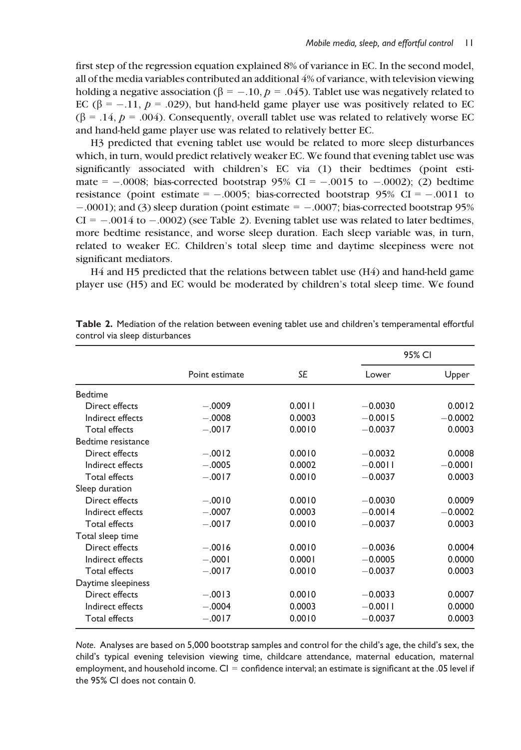first step of the regression equation explained 8% of variance in EC. In the second model, all of the media variables contributed an additional 4% of variance, with television viewing holding a negative association ( $\beta = -.10, p = .045$ ). Tablet use was negatively related to EC ( $\beta$  = -.11,  $p$  = .029), but hand-held game player use was positively related to EC  $(\beta = .14, p = .004)$ . Consequently, overall tablet use was related to relatively worse EC and hand-held game player use was related to relatively better EC.

H3 predicted that evening tablet use would be related to more sleep disturbances which, in turn, would predict relatively weaker EC. We found that evening tablet use was significantly associated with children's EC via (1) their bedtimes (point estimate  $= -0.0008$ ; bias-corrected bootstrap 95% CI  $= -0.0015$  to  $-0.0002$ ; (2) bedtime resistance (point estimate  $=$  -.0005; bias-corrected bootstrap 95% CI  $=$  -.0011 to  $-.0001$ ); and (3) sleep duration (point estimate  $= -.0007$ ; bias-corrected bootstrap 95%  $CI = -0.0014$  to  $-0.0002$ ) (see Table 2). Evening tablet use was related to later bedtimes, more bedtime resistance, and worse sleep duration. Each sleep variable was, in turn, related to weaker EC. Children's total sleep time and daytime sleepiness were not significant mediators.

H4 and H5 predicted that the relations between tablet use (H4) and hand-held game player use (H5) and EC would be moderated by children's total sleep time. We found

|                      |                |        | 95% CI    |           |
|----------------------|----------------|--------|-----------|-----------|
|                      | Point estimate | SE     | Lower     | Upper     |
| <b>Bedtime</b>       |                |        |           |           |
| Direct effects       | $-.0009$       | 0.0011 | $-0.0030$ | 0.0012    |
| Indirect effects     | $-.0008$       | 0.0003 | $-0.0015$ | $-0.0002$ |
| <b>Total effects</b> | $-.0017$       | 0.0010 | $-0.0037$ | 0.0003    |
| Bedtime resistance   |                |        |           |           |
| Direct effects       | $-.0012$       | 0.0010 | $-0.0032$ | 0.0008    |
| Indirect effects     | $-.0005$       | 0.0002 | $-0.0011$ | $-0.0001$ |
| Total effects        | $-.0017$       | 0.0010 | $-0.0037$ | 0.0003    |
| Sleep duration       |                |        |           |           |
| Direct effects       | $-.0010$       | 0.0010 | $-0.0030$ | 0.0009    |
| Indirect effects     | $-.0007$       | 0.0003 | $-0.0014$ | $-0.0002$ |
| Total effects        | $-.0017$       | 0.0010 | $-0.0037$ | 0.0003    |
| Total sleep time     |                |        |           |           |
| Direct effects       | $-.0016$       | 0.0010 | $-0.0036$ | 0.0004    |
| Indirect effects     | $-.0001$       | 0.0001 | $-0.0005$ | 0.0000    |
| <b>Total effects</b> | $-.0017$       | 0.0010 | $-0.0037$ | 0.0003    |
| Daytime sleepiness   |                |        |           |           |
| Direct effects       | $-.0013$       | 0.0010 | $-0.0033$ | 0.0007    |
| Indirect effects     | $-.0004$       | 0.0003 | $-0.0011$ | 0.0000    |
| <b>Total effects</b> | $-.0017$       | 0.0010 | $-0.0037$ | 0.0003    |

Table 2. Mediation of the relation between evening tablet use and children's temperamental effortful control via sleep disturbances

Note. Analyses are based on 5,000 bootstrap samples and control for the child's age, the child's sex, the child's typical evening television viewing time, childcare attendance, maternal education, maternal employment, and household income.  $CI =$  confidence interval; an estimate is significant at the .05 level if the 95% CI does not contain 0.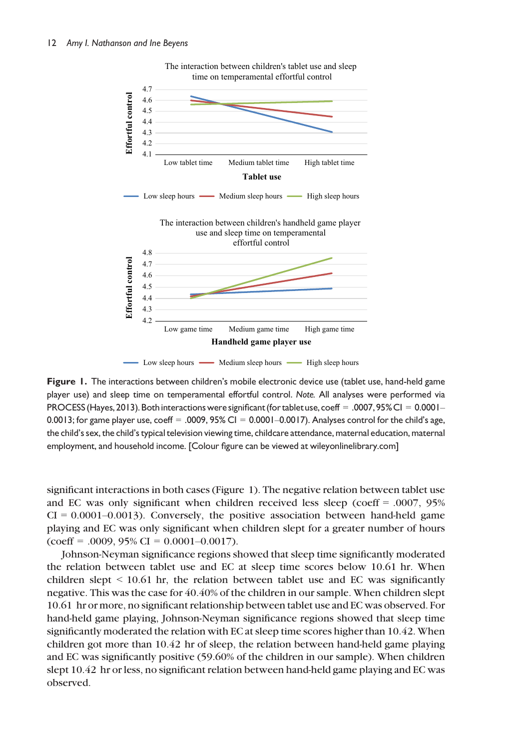

The interaction between children's tablet use and sleep time on temperamental effortful control

Low sleep hours  $\longrightarrow$  Medium sleep hours  $\longrightarrow$  High sleep hours

Figure 1. The interactions between children's mobile electronic device use (tablet use, hand-held game player use) and sleep time on temperamental effortful control. Note. All analyses were performed via PROCESS (Hayes, 2013). Both interactions were significant (for tablet use, coeff = .0007, 95% CI = 0.0001-0.0013; for game player use,  $\text{coeff} = .0009, 95\% \text{ CI} = 0.0001 - 0.0017$ ). Analyses control for the child's age, the child's sex, the child's typical television viewing time, childcare attendance, maternal education, maternal employment, and household income. [Colour figure can be viewed at wileyonlinelibrary.com]

significant interactions in both cases (Figure 1). The negative relation between tablet use and EC was only significant when children received less sleep (coeff  $=$  .0007, 95%  $CI = 0.0001-0.0013$ . Conversely, the positive association between hand-held game playing and EC was only significant when children slept for a greater number of hours  $(\text{coeff} = .0009, 95\% \text{ CI} = 0.0001 - 0.0017).$ 

Johnson-Neyman significance regions showed that sleep time significantly moderated the relation between tablet use and EC at sleep time scores below 10.61 hr. When children slept  $\leq 10.61$  hr, the relation between tablet use and EC was significantly negative. This was the case for 40.40% of the children in our sample. When children slept 10.61 hr or more, no significant relationship between tablet use and EC was observed. For hand-held game playing, Johnson-Neyman significance regions showed that sleep time significantly moderated the relation with EC at sleep time scores higher than 10.42. When children got more than 10.42 hr of sleep, the relation between hand-held game playing and EC was significantly positive (59.60% of the children in our sample). When children slept 10.42 hr or less, no significant relation between hand-held game playing and EC was observed.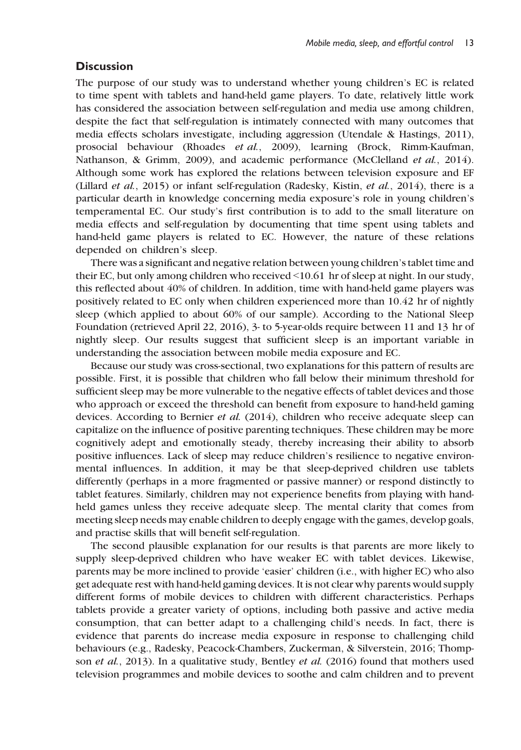## **Discussion**

The purpose of our study was to understand whether young children's EC is related to time spent with tablets and hand-held game players. To date, relatively little work has considered the association between self-regulation and media use among children, despite the fact that self-regulation is intimately connected with many outcomes that media effects scholars investigate, including aggression (Utendale & Hastings, 2011), prosocial behaviour (Rhoades et al., 2009), learning (Brock, Rimm-Kaufman, Nathanson, & Grimm, 2009), and academic performance (McClelland *et al.*, 2014). Although some work has explored the relations between television exposure and EF (Lillard et al., 2015) or infant self-regulation (Radesky, Kistin, et al., 2014), there is a particular dearth in knowledge concerning media exposure's role in young children's temperamental EC. Our study's first contribution is to add to the small literature on media effects and self-regulation by documenting that time spent using tablets and hand-held game players is related to EC. However, the nature of these relations depended on children's sleep.

There was a significant and negative relation between young children's tablet time and their EC, but only among children who received <10.61 hr of sleep at night. In our study, this reflected about 40% of children. In addition, time with hand-held game players was positively related to EC only when children experienced more than 10.42 hr of nightly sleep (which applied to about 60% of our sample). According to the National Sleep Foundation (retrieved April 22, 2016), 3- to 5-year-olds require between 11 and 13 hr of nightly sleep. Our results suggest that sufficient sleep is an important variable in understanding the association between mobile media exposure and EC.

Because our study was cross-sectional, two explanations for this pattern of results are possible. First, it is possible that children who fall below their minimum threshold for sufficient sleep may be more vulnerable to the negative effects of tablet devices and those who approach or exceed the threshold can benefit from exposure to hand-held gaming devices. According to Bernier et al. (2014), children who receive adequate sleep can capitalize on the influence of positive parenting techniques. These children may be more cognitively adept and emotionally steady, thereby increasing their ability to absorb positive influences. Lack of sleep may reduce children's resilience to negative environmental influences. In addition, it may be that sleep-deprived children use tablets differently (perhaps in a more fragmented or passive manner) or respond distinctly to tablet features. Similarly, children may not experience benefits from playing with handheld games unless they receive adequate sleep. The mental clarity that comes from meeting sleep needs may enable children to deeply engage with the games, develop goals, and practise skills that will benefit self-regulation.

The second plausible explanation for our results is that parents are more likely to supply sleep-deprived children who have weaker EC with tablet devices. Likewise, parents may be more inclined to provide 'easier' children (i.e., with higher EC) who also get adequate rest with hand-held gaming devices. It is not clear why parents would supply different forms of mobile devices to children with different characteristics. Perhaps tablets provide a greater variety of options, including both passive and active media consumption, that can better adapt to a challenging child's needs. In fact, there is evidence that parents do increase media exposure in response to challenging child behaviours (e.g., Radesky, Peacock-Chambers, Zuckerman, & Silverstein, 2016; Thompson et al., 2013). In a qualitative study, Bentley et al. (2016) found that mothers used television programmes and mobile devices to soothe and calm children and to prevent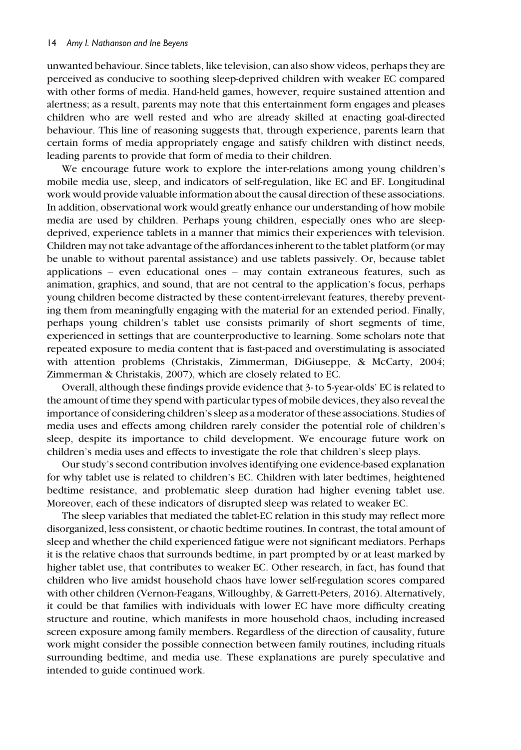unwanted behaviour. Since tablets, like television, can also show videos, perhaps they are perceived as conducive to soothing sleep-deprived children with weaker EC compared with other forms of media. Hand-held games, however, require sustained attention and alertness; as a result, parents may note that this entertainment form engages and pleases children who are well rested and who are already skilled at enacting goal-directed behaviour. This line of reasoning suggests that, through experience, parents learn that certain forms of media appropriately engage and satisfy children with distinct needs, leading parents to provide that form of media to their children.

We encourage future work to explore the inter-relations among young children's mobile media use, sleep, and indicators of self-regulation, like EC and EF. Longitudinal work would provide valuable information about the causal direction of these associations. In addition, observational work would greatly enhance our understanding of how mobile media are used by children. Perhaps young children, especially ones who are sleepdeprived, experience tablets in a manner that mimics their experiences with television. Children may not take advantage of the affordances inherent to the tablet platform (or may be unable to without parental assistance) and use tablets passively. Or, because tablet applications – even educational ones – may contain extraneous features, such as animation, graphics, and sound, that are not central to the application's focus, perhaps young children become distracted by these content-irrelevant features, thereby preventing them from meaningfully engaging with the material for an extended period. Finally, perhaps young children's tablet use consists primarily of short segments of time, experienced in settings that are counterproductive to learning. Some scholars note that repeated exposure to media content that is fast-paced and overstimulating is associated with attention problems (Christakis, Zimmerman, DiGiuseppe, & McCarty, 2004; Zimmerman & Christakis, 2007), which are closely related to EC.

Overall, although these findings provide evidence that 3- to 5-year-olds' EC is related to the amount of time they spend with particular types of mobile devices, they also reveal the importance of considering children's sleep as a moderator of these associations. Studies of media uses and effects among children rarely consider the potential role of children's sleep, despite its importance to child development. We encourage future work on children's media uses and effects to investigate the role that children's sleep plays.

Our study's second contribution involves identifying one evidence-based explanation for why tablet use is related to children's EC. Children with later bedtimes, heightened bedtime resistance, and problematic sleep duration had higher evening tablet use. Moreover, each of these indicators of disrupted sleep was related to weaker EC.

The sleep variables that mediated the tablet-EC relation in this study may reflect more disorganized, less consistent, or chaotic bedtime routines. In contrast, the total amount of sleep and whether the child experienced fatigue were not significant mediators. Perhaps it is the relative chaos that surrounds bedtime, in part prompted by or at least marked by higher tablet use, that contributes to weaker EC. Other research, in fact, has found that children who live amidst household chaos have lower self-regulation scores compared with other children (Vernon-Feagans, Willoughby, & Garrett-Peters, 2016). Alternatively, it could be that families with individuals with lower EC have more difficulty creating structure and routine, which manifests in more household chaos, including increased screen exposure among family members. Regardless of the direction of causality, future work might consider the possible connection between family routines, including rituals surrounding bedtime, and media use. These explanations are purely speculative and intended to guide continued work.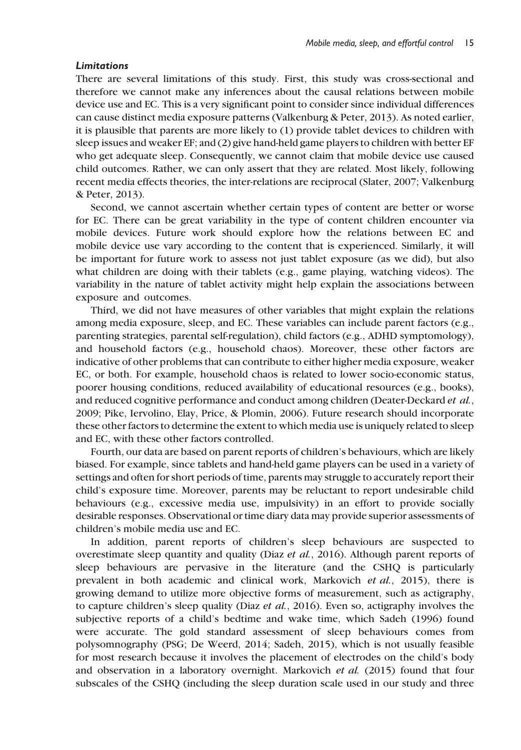## Limitations

There are several limitations of this study. First, this study was cross-sectional and therefore we cannot make any inferences about the causal relations between mobile device use and EC. This is a very significant point to consider since individual differences can cause distinct media exposure patterns (Valkenburg & Peter, 2013). As noted earlier, it is plausible that parents are more likely to (1) provide tablet devices to children with sleep issues and weaker EF; and (2) give hand-held game players to children with better EF who get adequate sleep. Consequently, we cannot claim that mobile device use caused child outcomes. Rather, we can only assert that they are related. Most likely, following recent media effects theories, the inter-relations are reciprocal (Slater, 2007; Valkenburg & Peter, 2013).

Second, we cannot ascertain whether certain types of content are better or worse for EC. There can be great variability in the type of content children encounter via mobile devices. Future work should explore how the relations between EC and mobile device use vary according to the content that is experienced. Similarly, it will be important for future work to assess not just tablet exposure (as we did), but also what children are doing with their tablets (e.g., game playing, watching videos). The variability in the nature of tablet activity might help explain the associations between exposure and outcomes.

Third, we did not have measures of other variables that might explain the relations among media exposure, sleep, and EC. These variables can include parent factors (e.g., parenting strategies, parental self-regulation), child factors (e.g., ADHD symptomology), and household factors (e.g., household chaos). Moreover, these other factors are indicative of other problems that can contribute to either higher media exposure, weaker EC, or both. For example, household chaos is related to lower socio-economic status, poorer housing conditions, reduced availability of educational resources (e.g., books), and reduced cognitive performance and conduct among children (Deater-Deckard *et al.*, 2009; Pike, Iervolino, Elay, Price, & Plomin, 2006). Future research should incorporate these other factors to determine the extent to which media use is uniquely related to sleep and EC, with these other factors controlled.

Fourth, our data are based on parent reports of children's behaviours, which are likely biased. For example, since tablets and hand-held game players can be used in a variety of settings and often for short periods of time, parents may struggle to accurately report their child's exposure time. Moreover, parents may be reluctant to report undesirable child behaviours (e.g., excessive media use, impulsivity) in an effort to provide socially desirable responses. Observational or time diary data may provide superior assessments of children's mobile media use and EC.

In addition, parent reports of children's sleep behaviours are suspected to overestimate sleep quantity and quality (Diaz et al., 2016). Although parent reports of sleep behaviours are pervasive in the literature (and the CSHQ is particularly prevalent in both academic and clinical work, Markovich et al., 2015), there is growing demand to utilize more objective forms of measurement, such as actigraphy, to capture children's sleep quality (Diaz *et al.*, 2016). Even so, actigraphy involves the subjective reports of a child's bedtime and wake time, which Sadeh (1996) found were accurate. The gold standard assessment of sleep behaviours comes from polysomnography (PSG; De Weerd, 2014; Sadeh, 2015), which is not usually feasible for most research because it involves the placement of electrodes on the child's body and observation in a laboratory overnight. Markovich et al. (2015) found that four subscales of the CSHQ (including the sleep duration scale used in our study and three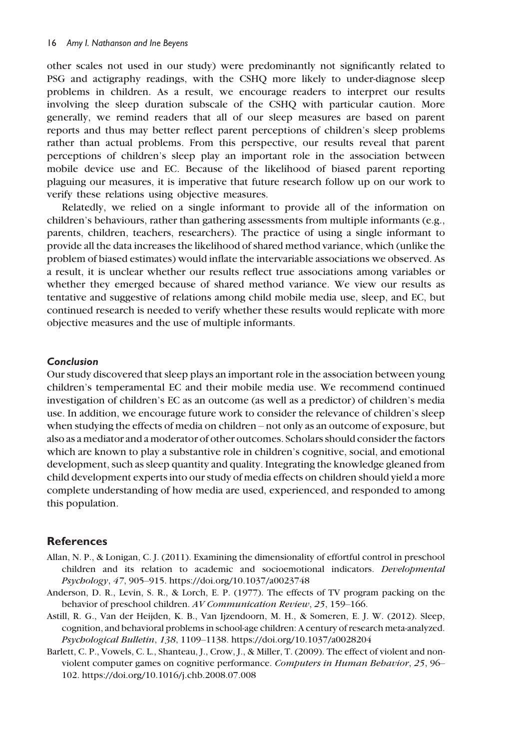other scales not used in our study) were predominantly not significantly related to PSG and actigraphy readings, with the CSHQ more likely to under-diagnose sleep problems in children. As a result, we encourage readers to interpret our results involving the sleep duration subscale of the CSHQ with particular caution. More generally, we remind readers that all of our sleep measures are based on parent reports and thus may better reflect parent perceptions of children's sleep problems rather than actual problems. From this perspective, our results reveal that parent perceptions of children's sleep play an important role in the association between mobile device use and EC. Because of the likelihood of biased parent reporting plaguing our measures, it is imperative that future research follow up on our work to verify these relations using objective measures.

Relatedly, we relied on a single informant to provide all of the information on children's behaviours, rather than gathering assessments from multiple informants (e.g., parents, children, teachers, researchers). The practice of using a single informant to provide all the data increases the likelihood of shared method variance, which (unlike the problem of biased estimates) would inflate the intervariable associations we observed. As a result, it is unclear whether our results reflect true associations among variables or whether they emerged because of shared method variance. We view our results as tentative and suggestive of relations among child mobile media use, sleep, and EC, but continued research is needed to verify whether these results would replicate with more objective measures and the use of multiple informants.

#### Conclusion

Our study discovered that sleep plays an important role in the association between young children's temperamental EC and their mobile media use. We recommend continued investigation of children's EC as an outcome (as well as a predictor) of children's media use. In addition, we encourage future work to consider the relevance of children's sleep when studying the effects of media on children – not only as an outcome of exposure, but also as a mediator and a moderator of other outcomes. Scholars should consider the factors which are known to play a substantive role in children's cognitive, social, and emotional development, such as sleep quantity and quality. Integrating the knowledge gleaned from child development experts into our study of media effects on children should yield a more complete understanding of how media are used, experienced, and responded to among this population.

## **References**

- Allan, N. P., & Lonigan, C. J. (2011). Examining the dimensionality of effortful control in preschool children and its relation to academic and socioemotional indicators. Developmental Psychology, 47, 905–915.<https://doi.org/10.1037/a0023748>
- Anderson, D. R., Levin, S. R., & Lorch, E. P. (1977). The effects of TV program packing on the behavior of preschool children. AV Communication Review, 25, 159–166.
- Astill, R. G., Van der Heijden, K. B., Van Ijzendoorn, M. H., & Someren, E. J. W. (2012). Sleep, cognition, and behavioral problems in school-age children: A century of research meta-analyzed. Psychological Bulletin, 138, 1109–1138.<https://doi.org/10.1037/a0028204>
- Barlett, C. P., Vowels, C. L., Shanteau, J., Crow, J., & Miller, T. (2009). The effect of violent and nonviolent computer games on cognitive performance. Computers in Human Behavior, 25, 96– 102.<https://doi.org/10.1016/j.chb.2008.07.008>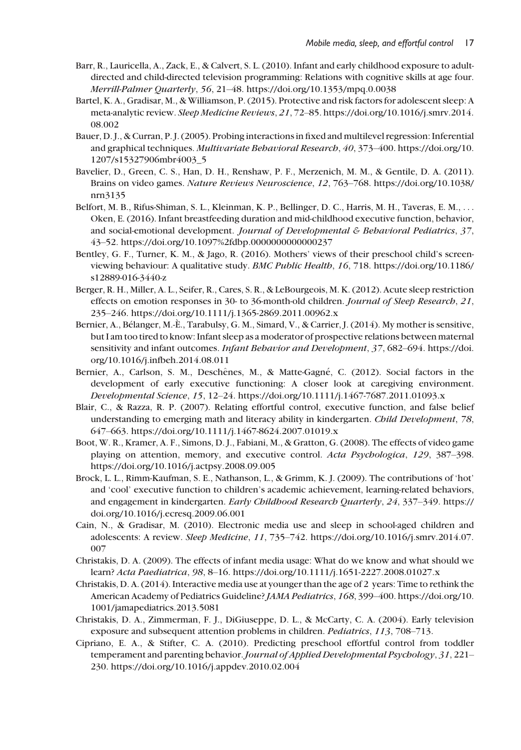- Barr, R., Lauricella, A., Zack, E., & Calvert, S. L. (2010). Infant and early childhood exposure to adultdirected and child-directed television programming: Relations with cognitive skills at age four. Merrill-Palmer Quarterly, 56, 21–48.<https://doi.org/10.1353/mpq.0.0038>
- Bartel, K. A., Gradisar, M., & Williamson, P. (2015). Protective and risk factors for adolescent sleep: A meta-analytic review. Sleep Medicine Reviews, 21, 72–85. [https://doi.org/10.1016/j.smrv.2014.](https://doi.org/10.1016/j.smrv.2014.08.002) [08.002](https://doi.org/10.1016/j.smrv.2014.08.002)
- Bauer, D. J., & Curran, P. J. (2005). Probing interactions in fixed and multilevel regression: Inferential and graphical techniques. Multivariate Behavioral Research, 40, 373–400. [https://doi.org/10.](https://doi.org/10.1207/s15327906mbr4003_5) [1207/s15327906mbr4003\\_5](https://doi.org/10.1207/s15327906mbr4003_5)
- Bavelier, D., Green, C. S., Han, D. H., Renshaw, P. F., Merzenich, M. M., & Gentile, D. A. (2011). Brains on video games. Nature Reviews Neuroscience, 12, 763–768. [https://doi.org/10.1038/](https://doi.org/10.1038/nrn3135) [nrn3135](https://doi.org/10.1038/nrn3135)
- Belfort, M. B., Rifus-Shiman, S. L., Kleinman, K. P., Bellinger, D. C., Harris, M. H., Taveras, E. M., ... Oken, E. (2016). Infant breastfeeding duration and mid-childhood executive function, behavior, and social-emotional development. Journal of Developmental & Behavioral Pediatrics, 37, 43–52.<https://doi.org/10.1097%2fdbp.0000000000000237>
- Bentley, G. F., Turner, K. M., & Jago, R. (2016). Mothers' views of their preschool child's screenviewing behaviour: A qualitative study. BMC Public Health, 16, 718. [https://doi.org/10.1186/](https://doi.org/10.1186/s12889-016-3440-z) [s12889-016-3440-z](https://doi.org/10.1186/s12889-016-3440-z)
- Berger, R. H., Miller, A. L., Seifer, R., Cares, S. R., & LeBourgeois, M. K. (2012). Acute sleep restriction effects on emotion responses in 30- to 36-month-old children. Journal of Sleep Research, 21, 235–246.<https://doi.org/10.1111/j.1365-2869.2011.00962.x>
- Bernier, A., Bélanger, M.-È., Tarabulsy, G. M., Simard, V., & Carrier, J. (2014). My mother is sensitive, but I am too tired to know: Infant sleep as a moderator of prospective relations between maternal sensitivity and infant outcomes. *Infant Behavior and Development*, 37, 682–694. [https://doi.](https://doi.org/10.1016/j.infbeh.2014.08.011) [org/10.1016/j.infbeh.2014.08.011](https://doi.org/10.1016/j.infbeh.2014.08.011)
- Bernier, A., Carlson, S. M., Deschênes, M., & Matte-Gagné, C. (2012). Social factors in the development of early executive functioning: A closer look at caregiving environment. Developmental Science, 15, 12–24.<https://doi.org/10.1111/j.1467-7687.2011.01093.x>
- Blair, C., & Razza, R. P. (2007). Relating effortful control, executive function, and false belief understanding to emerging math and literacy ability in kindergarten. Child Development, 78, 647–663.<https://doi.org/10.1111/j.1467-8624.2007.01019.x>
- Boot, W. R., Kramer, A. F., Simons, D. J., Fabiani, M., & Gratton, G. (2008). The effects of video game playing on attention, memory, and executive control. Acta Psychologica, 129, 387–398. <https://doi.org/10.1016/j.actpsy.2008.09.005>
- Brock, L. L., Rimm-Kaufman, S. E., Nathanson, L., & Grimm, K. J. (2009). The contributions of 'hot' and 'cool' executive function to children's academic achievement, learning-related behaviors, and engagement in kindergarten. Early Childhood Research Quarterly, 24, 337–349. [https://](https://doi.org/10.1016/j.ecresq.2009.06.001) [doi.org/10.1016/j.ecresq.2009.06.001](https://doi.org/10.1016/j.ecresq.2009.06.001)
- Cain, N., & Gradisar, M. (2010). Electronic media use and sleep in school-aged children and adolescents: A review. Sleep Medicine, 11, 735–742. [https://doi.org/10.1016/j.smrv.2014.07.](https://doi.org/10.1016/j.smrv.2014.07.007) [007](https://doi.org/10.1016/j.smrv.2014.07.007)
- Christakis, D. A. (2009). The effects of infant media usage: What do we know and what should we learn? Acta Paediatrica, 98, 8–16.<https://doi.org/10.1111/j.1651-2227.2008.01027.x>
- Christakis, D. A. (2014). Interactive media use at younger than the age of 2 years: Time to rethink the American Academy of Pediatrics Guideline? JAMA Pediatrics, 168, 399-400. [https://doi.org/10.](https://doi.org/10.1001/jamapediatrics.2013.5081) [1001/jamapediatrics.2013.5081](https://doi.org/10.1001/jamapediatrics.2013.5081)
- Christakis, D. A., Zimmerman, F. J., DiGiuseppe, D. L., & McCarty, C. A. (2004). Early television exposure and subsequent attention problems in children. Pediatrics, 113, 708–713.
- Cipriano, E. A., & Stifter, C. A. (2010). Predicting preschool effortful control from toddler temperament and parenting behavior. Journal of Applied Developmental Psychology, 31, 221– 230.<https://doi.org/10.1016/j.appdev.2010.02.004>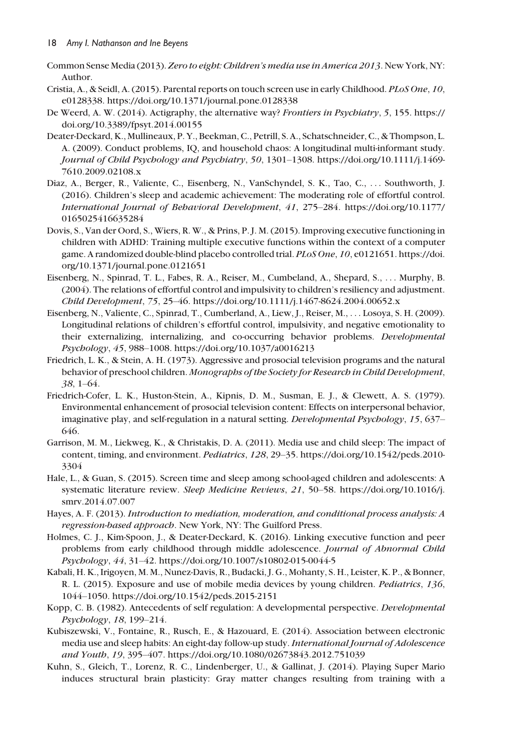- Common Sense Media (2013). Zero to eight: Children's media use in America 2013. New York, NY: Author.
- Cristia, A., & Seidl, A. (2015). Parental reports on touch screen use in early Childhood. PLoS One, 10, e0128338.<https://doi.org/10.1371/journal.pone.0128338>
- De Weerd, A. W. (2014). Actigraphy, the alternative way? Frontiers in Psychiatry, 5, 155. [https://](https://doi.org/10.3389/fpsyt.2014.00155) [doi.org/10.3389/fpsyt.2014.00155](https://doi.org/10.3389/fpsyt.2014.00155)
- Deater-Deckard, K., Mullineaux, P. Y., Beekman, C., Petrill, S. A., Schatschneider, C., & Thompson, L. A. (2009). Conduct problems, IQ, and household chaos: A longitudinal multi-informant study. Journal of Child Psychology and Psychiatry, 50, 1301–1308. [https://doi.org/10.1111/j.1469-](https://doi.org/10.1111/j.1469-7610.2009.02108.x) [7610.2009.02108.x](https://doi.org/10.1111/j.1469-7610.2009.02108.x)
- Diaz, A., Berger, R., Valiente, C., Eisenberg, N., VanSchyndel, S. K., Tao, C., ... Southworth, J. (2016). Children's sleep and academic achievement: The moderating role of effortful control. International Journal of Behavioral Development, 41, 275–284. [https://doi.org/10.1177/](https://doi.org/10.1177/0165025416635284) [0165025416635284](https://doi.org/10.1177/0165025416635284)
- Dovis, S., Van der Oord, S., Wiers, R. W., & Prins, P. J. M. (2015). Improving executive functioning in children with ADHD: Training multiple executive functions within the context of a computer game. A randomized double-blind placebo controlled trial. PLoS One, 10, e0121651. [https://doi.](https://doi.org/10.1371/journal.pone.0121651) [org/10.1371/journal.pone.0121651](https://doi.org/10.1371/journal.pone.0121651)
- Eisenberg, N., Spinrad, T. L., Fabes, R. A., Reiser, M., Cumbeland, A., Shepard, S., ... Murphy, B. (2004). The relations of effortful control and impulsivity to children's resiliency and adjustment. Child Development, 75, 25–46.<https://doi.org/10.1111/j.1467-8624.2004.00652.x>
- Eisenberg, N., Valiente, C., Spinrad, T., Cumberland, A., Liew, J., Reiser, M., ... Losoya, S. H. (2009). Longitudinal relations of children's effortful control, impulsivity, and negative emotionality to their externalizing, internalizing, and co-occurring behavior problems. Developmental Psychology, 45, 988–1008.<https://doi.org/10.1037/a0016213>
- Friedrich, L. K., & Stein, A. H. (1973). Aggressive and prosocial television programs and the natural behavior of preschool children. Monographs of the Society for Research in Child Development, 38, 1–64.
- Friedrich-Cofer, L. K., Huston-Stein, A., Kipnis, D. M., Susman, E. J., & Clewett, A. S. (1979). Environmental enhancement of prosocial television content: Effects on interpersonal behavior, imaginative play, and self-regulation in a natural setting. Developmental Psychology, 15,  $637-$ 646.
- Garrison, M. M., Liekweg, K., & Christakis, D. A. (2011). Media use and child sleep: The impact of content, timing, and environment. Pediatrics, 128, 29–35. [https://doi.org/10.1542/peds.2010-](https://doi.org/10.1542/peds.2010-3304) [3304](https://doi.org/10.1542/peds.2010-3304)
- Hale, L., & Guan, S. (2015). Screen time and sleep among school-aged children and adolescents: A systematic literature review. Sleep Medicine Reviews, 21, 50–58. [https://doi.org/10.1016/j.](https://doi.org/10.1016/j.smrv.2014.07.007) [smrv.2014.07.007](https://doi.org/10.1016/j.smrv.2014.07.007)
- Hayes, A. F. (2013). Introduction to mediation, moderation, and conditional process analysis: A regression-based approach. New York, NY: The Guilford Press.
- Holmes, C. J., Kim-Spoon, J., & Deater-Deckard, K. (2016). Linking executive function and peer problems from early childhood through middle adolescence. Journal of Abnormal Child Psychology, 44, 31–42.<https://doi.org/10.1007/s10802-015-0044-5>
- Kabali, H. K., Irigoyen, M. M., Nunez-Davis, R., Budacki, J. G., Mohanty, S. H., Leister, K. P., & Bonner, R. L. (2015). Exposure and use of mobile media devices by young children. Pediatrics, 136, 1044–1050.<https://doi.org/10.1542/peds.2015-2151>
- Kopp, C. B. (1982). Antecedents of self regulation: A developmental perspective. Developmental Psychology, 18, 199–214.
- Kubiszewski, V., Fontaine, R., Rusch, E., & Hazouard, E. (2014). Association between electronic media use and sleep habits: An eight-day follow-up study. International Journal of Adolescence and Youth, 19, 395–407.<https://doi.org/10.1080/02673843.2012.751039>
- Kuhn, S., Gleich, T., Lorenz, R. C., Lindenberger, U., & Gallinat, J. (2014). Playing Super Mario induces structural brain plasticity: Gray matter changes resulting from training with a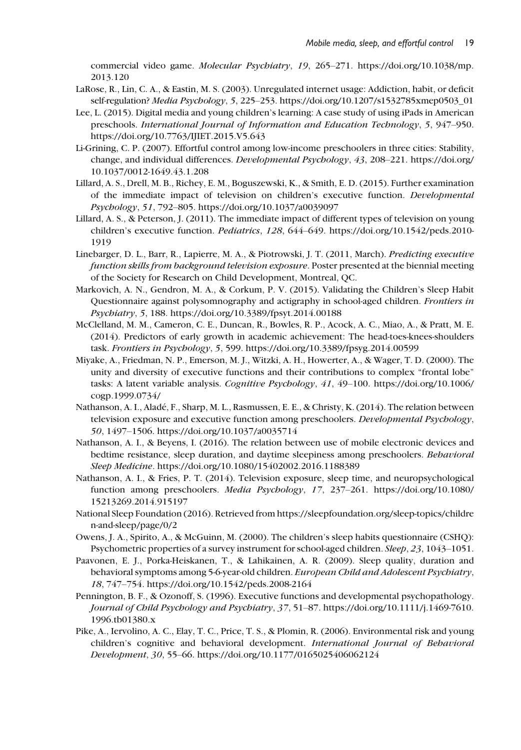commercial video game. Molecular Psychiatry, 19, 265–271. [https://doi.org/10.1038/mp.](https://doi.org/10.1038/mp.2013.120) [2013.120](https://doi.org/10.1038/mp.2013.120)

- LaRose, R., Lin, C. A., & Eastin, M. S. (2003). Unregulated internet usage: Addiction, habit, or deficit self-regulation? Media Psychology, 5, 225–253. [https://doi.org/10.1207/s1532785xmep0503\\_01](https://doi.org/10.1207/s1532785xmep0503_01)
- Lee, L. (2015). Digital media and young children's learning: A case study of using iPads in American preschools. International Journal of Information and Education Technology, 5, 947–950. <https://doi.org/10.7763/IJIET.2015.V5.643>
- Li-Grining, C. P. (2007). Effortful control among low-income preschoolers in three cities: Stability, change, and individual differences. Developmental Psychology, 43, 208–221. [https://doi.org/](https://doi.org/10.1037/0012-1649.43.1.208) [10.1037/0012-1649.43.1.208](https://doi.org/10.1037/0012-1649.43.1.208)
- Lillard, A. S., Drell, M. B., Richey, E. M., Boguszewski, K., & Smith, E. D. (2015). Further examination of the immediate impact of television on children's executive function. Developmental Psychology, 51, 792–805.<https://doi.org/10.1037/a0039097>
- Lillard, A. S., & Peterson, J. (2011). The immediate impact of different types of television on young children's executive function. Pediatrics, 128, 644–649. [https://doi.org/10.1542/peds.2010-](https://doi.org/10.1542/peds.2010-1919) [1919](https://doi.org/10.1542/peds.2010-1919)
- Linebarger, D. L., Barr, R., Lapierre, M. A., & Piotrowski, J. T. (2011, March). Predicting executive function skills from background television exposure. Poster presented at the biennial meeting of the Society for Research on Child Development, Montreal, QC.
- Markovich, A. N., Gendron, M. A., & Corkum, P. V. (2015). Validating the Children's Sleep Habit Questionnaire against polysomnography and actigraphy in school-aged children. Frontiers in Psychiatry, 5, 188.<https://doi.org/10.3389/fpsyt.2014.00188>
- McClelland, M. M., Cameron, C. E., Duncan, R., Bowles, R. P., Acock, A. C., Miao, A., & Pratt, M. E. (2014). Predictors of early growth in academic achievement: The head-toes-knees-shoulders task. Frontiers in Psychology, 5, 599.<https://doi.org/10.3389/fpsyg.2014.00599>
- Miyake, A., Friedman, N. P., Emerson, M. J., Witzki, A. H., Howerter, A., & Wager, T. D. (2000). The unity and diversity of executive functions and their contributions to complex "frontal lobe" tasks: A latent variable analysis. Cognitive Psychology, 41, 49-100. [https://doi.org/10.1006/](https://doi.org/10.1006/cogp.1999.0734/) [cogp.1999.0734/](https://doi.org/10.1006/cogp.1999.0734/)
- Nathanson, A. I., Aladé, F., Sharp, M. L., Rasmussen, E. E., & Christy, K. (2014). The relation between television exposure and executive function among preschoolers. Developmental Psychology, 50, 1497–1506.<https://doi.org/10.1037/a0035714>
- Nathanson, A. I., & Beyens, I. (2016). The relation between use of mobile electronic devices and bedtime resistance, sleep duration, and daytime sleepiness among preschoolers. Behavioral Sleep Medicine.<https://doi.org/10.1080/15402002.2016.1188389>
- Nathanson, A. I., & Fries, P. T. (2014). Television exposure, sleep time, and neuropsychological function among preschoolers. Media Psychology, 17, 237–261. [https://doi.org/10.1080/](https://doi.org/10.1080/15213269.2014.915197) [15213269.2014.915197](https://doi.org/10.1080/15213269.2014.915197)
- National Sleep Foundation (2016). Retrieved from [https://sleepfoundation.org/sleep-topics/childre](https://sleepfoundation.org/sleep-topics/children-and-sleep/page/0/2) [n-and-sleep/page/0/2](https://sleepfoundation.org/sleep-topics/children-and-sleep/page/0/2)
- Owens, J. A., Spirito, A., & McGuinn, M. (2000). The children's sleep habits questionnaire (CSHQ): Psychometric properties of a survey instrument for school-aged children. Sleep, 23, 1043–1051.
- Paavonen, E. J., Porka-Heiskanen, T., & Lahikainen, A. R. (2009). Sleep quality, duration and behavioral symptoms among 5-6-year-old children. European Child and Adolescent Psychiatry, 18, 747–754.<https://doi.org/10.1542/peds.2008-2164>
- Pennington, B. F., & Ozonoff, S. (1996). Executive functions and developmental psychopathology. Journal of Child Psychology and Psychiatry, 37, 51–87. [https://doi.org/10.1111/j.1469-7610.](https://doi.org/10.1111/j.1469-7610.1996.tb01380.x) [1996.tb01380.x](https://doi.org/10.1111/j.1469-7610.1996.tb01380.x)
- Pike, A., Iervolino, A. C., Elay, T. C., Price, T. S., & Plomin, R. (2006). Environmental risk and young children's cognitive and behavioral development. International Journal of Behavioral Development, 30, 55–66.<https://doi.org/10.1177/0165025406062124>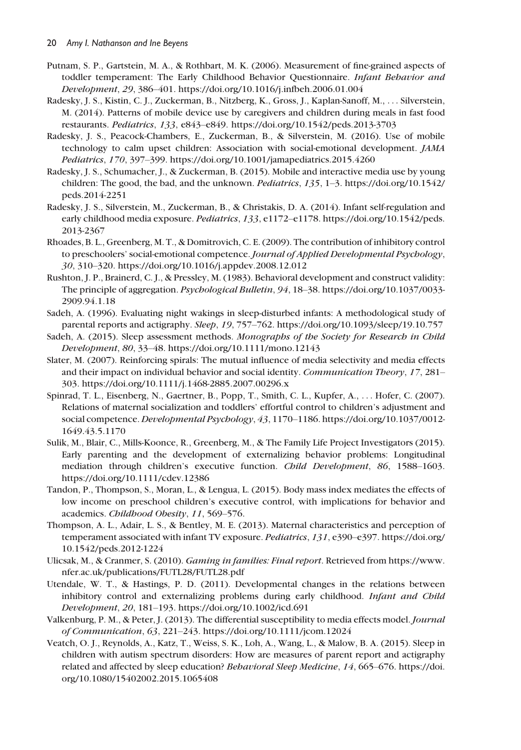- Putnam, S. P., Gartstein, M. A., & Rothbart, M. K. (2006). Measurement of fine-grained aspects of toddler temperament: The Early Childhood Behavior Questionnaire. Infant Behavior and Development, 29, 386–401.<https://doi.org/10.1016/j.infbeh.2006.01.004>
- Radesky, J. S., Kistin, C. J., Zuckerman, B., Nitzberg, K., Gross, J., Kaplan-Sanoff, M., ... Silverstein, M. (2014). Patterns of mobile device use by caregivers and children during meals in fast food restaurants. Pediatrics, 133, e843–e849.<https://doi.org/10.1542/peds.2013-3703>
- Radesky, J. S., Peacock-Chambers, E., Zuckerman, B., & Silverstein, M. (2016). Use of mobile technology to calm upset children: Association with social-emotional development. JAMA Pediatrics, 170, 397–399.<https://doi.org/10.1001/jamapediatrics.2015.4260>
- Radesky, J. S., Schumacher, J., & Zuckerman, B. (2015). Mobile and interactive media use by young children: The good, the bad, and the unknown. Pediatrics, 135, 1–3. [https://doi.org/10.1542/](https://doi.org/10.1542/peds.2014-2251) [peds.2014-2251](https://doi.org/10.1542/peds.2014-2251)
- Radesky, J. S., Silverstein, M., Zuckerman, B., & Christakis, D. A. (2014). Infant self-regulation and early childhood media exposure. Pediatrics, 133, e1172-e1178. [https://doi.org/10.1542/peds.](https://doi.org/10.1542/peds.2013-2367) [2013-2367](https://doi.org/10.1542/peds.2013-2367)
- Rhoades, B. L., Greenberg, M. T., & Domitrovich, C. E. (2009). The contribution of inhibitory control to preschoolers' social-emotional competence. Journal of Applied Developmental Psychology, 30, 310–320.<https://doi.org/10.1016/j.appdev.2008.12.012>
- Rushton, J. P., Brainerd, C. J., & Pressley, M. (1983). Behavioral development and construct validity: The principle of aggregation. Psychological Bulletin, 94, 18–38. [https://doi.org/10.1037/0033-](https://doi.org/10.1037/0033-2909.94.1.18) [2909.94.1.18](https://doi.org/10.1037/0033-2909.94.1.18)
- Sadeh, A. (1996). Evaluating night wakings in sleep-disturbed infants: A methodological study of parental reports and actigraphy. Sleep, 19, 757–762.<https://doi.org/10.1093/sleep/19.10.757>
- Sadeh, A. (2015). Sleep assessment methods. Monographs of the Society for Research in Child Development, 80, 33–48.<https://doi.org/10.1111/mono.12143>
- Slater, M. (2007). Reinforcing spirals: The mutual influence of media selectivity and media effects and their impact on individual behavior and social identity. Communication Theory, 17, 281– 303.<https://doi.org/10.1111/j.1468-2885.2007.00296.x>
- Spinrad, T. L., Eisenberg, N., Gaertner, B., Popp, T., Smith, C. L., Kupfer, A., ... Hofer, C. (2007). Relations of maternal socialization and toddlers' effortful control to children's adjustment and social competence. Developmental Psychology, 43, 1170–1186. [https://doi.org/10.1037/0012-](https://doi.org/10.1037/0012-1649.43.5.1170) [1649.43.5.1170](https://doi.org/10.1037/0012-1649.43.5.1170)
- Sulik, M., Blair, C., Mills-Koonce, R., Greenberg, M., & The Family Life Project Investigators (2015). Early parenting and the development of externalizing behavior problems: Longitudinal mediation through children's executive function. Child Development, 86, 1588–1603. <https://doi.org/10.1111/cdev.12386>
- Tandon, P., Thompson, S., Moran, L., & Lengua, L. (2015). Body mass index mediates the effects of low income on preschool children's executive control, with implications for behavior and academics. Childhood Obesity, 11, 569–576.
- Thompson, A. L., Adair, L. S., & Bentley, M. E. (2013). Maternal characteristics and perception of temperament associated with infant TV exposure. Pediatrics, 131, e390–e397. [https://doi.org/](https://doi.org/10.1542/peds.2012-1224) [10.1542/peds.2012-1224](https://doi.org/10.1542/peds.2012-1224)
- Ulicsak, M., & Cranmer, S. (2010). Gaming in families: Final report. Retrieved from [https://www.](https://www.nfer.ac.uk/publications/FUTL28/FUTL28.pdf) [nfer.ac.uk/publications/FUTL28/FUTL28.pdf](https://www.nfer.ac.uk/publications/FUTL28/FUTL28.pdf)
- Utendale, W. T., & Hastings, P. D. (2011). Developmental changes in the relations between inhibitory control and externalizing problems during early childhood. Infant and Child Development, 20, 181–193.<https://doi.org/10.1002/icd.691>
- Valkenburg, P. M., & Peter, J. (2013). The differential susceptibility to media effects model. Journal of Communication, 63, 221–243.<https://doi.org/10.1111/jcom.12024>
- Veatch, O. J., Reynolds, A., Katz, T., Weiss, S. K., Loh, A., Wang, L., & Malow, B. A. (2015). Sleep in children with autism spectrum disorders: How are measures of parent report and actigraphy related and affected by sleep education? Behavioral Sleep Medicine, 14, 665–676. [https://doi.](https://doi.org/10.1080/15402002.2015.1065408) [org/10.1080/15402002.2015.1065408](https://doi.org/10.1080/15402002.2015.1065408)